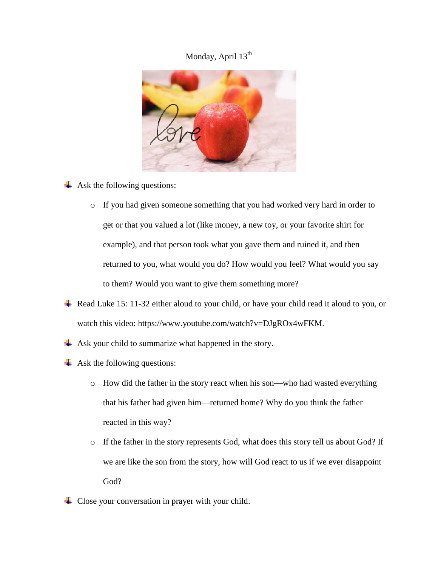## Monday, April 13<sup>th</sup>



- $\overline{\phantom{a}}$  Ask the following questions:
	- o If you had given someone something that you had worked very hard in order to get or that you valued a lot (like money, a new toy, or your favorite shirt for example), and that person took what you gave them and ruined it, and then returned to you, what would you do? How would you feel? What would you say to them? Would you want to give them something more?
- Read Luke 15: 11-32 either aloud to your child, or have your child read it aloud to you, or watch this video: https://www.youtube.com/watch?v=DJgROx4wFKM.
- $\overline{\phantom{a}}$  Ask your child to summarize what happened in the story.
- $\overline{\phantom{a}}$  Ask the following questions:
	- o How did the father in the story react when his son—who had wasted everything that his father had given him—returned home? Why do you think the father reacted in this way?
	- o If the father in the story represents God, what does this story tell us about God? If we are like the son from the story, how will God react to us if we ever disappoint God?
- $\overline{\phantom{a}}$  Close your conversation in prayer with your child.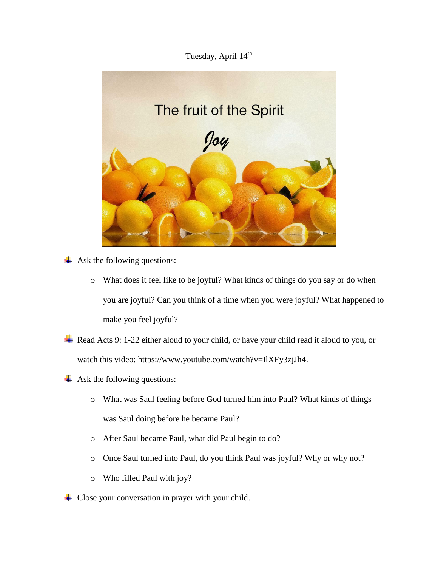## Tuesday, April 14<sup>th</sup>



 $\leftarrow$  Ask the following questions:

- o What does it feel like to be joyful? What kinds of things do you say or do when you are joyful? Can you think of a time when you were joyful? What happened to make you feel joyful?
- Read Acts 9: 1-22 either aloud to your child, or have your child read it aloud to you, or watch this video: https://www.youtube.com/watch?v=IIXFy3zjJh4.
- $\overline{\phantom{a}}$  Ask the following questions:
	- o What was Saul feeling before God turned him into Paul? What kinds of things was Saul doing before he became Paul?
	- o After Saul became Paul, what did Paul begin to do?
	- o Once Saul turned into Paul, do you think Paul was joyful? Why or why not?
	- o Who filled Paul with joy?
- $\overline{\phantom{a}}$  Close your conversation in prayer with your child.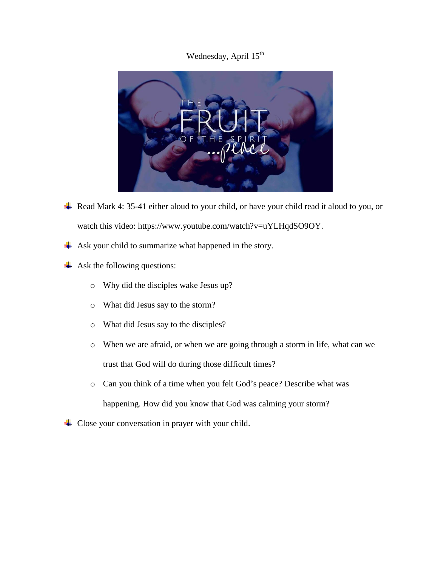## Wednesday, April 15<sup>th</sup>



- ↓ Read Mark 4: 35-41 either aloud to your child, or have your child read it aloud to you, or watch this video: https://www.youtube.com/watch?v=uYLHqdSO9OY.
- Ask your child to summarize what happened in the story. ÷
- $\overline{\phantom{a}}$  Ask the following questions:
	- o Why did the disciples wake Jesus up?
	- o What did Jesus say to the storm?
	- o What did Jesus say to the disciples?
	- o When we are afraid, or when we are going through a storm in life, what can we trust that God will do during those difficult times?
	- o Can you think of a time when you felt God's peace? Describe what was happening. How did you know that God was calming your storm?
- $\overline{\phantom{a}}$  Close your conversation in prayer with your child.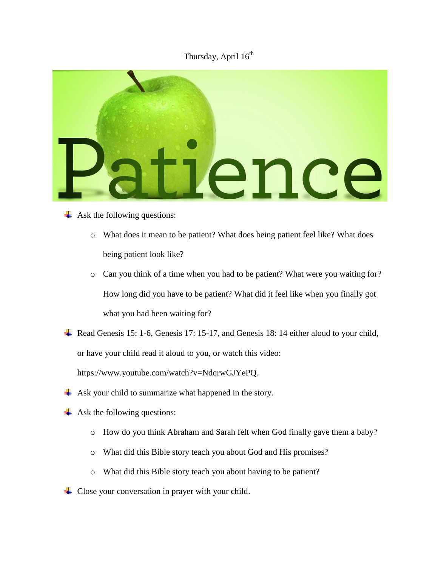## Thursday, April  $16^{th}$



- $\leftarrow$  Ask the following questions:
	- o What does it mean to be patient? What does being patient feel like? What does being patient look like?
	- o Can you think of a time when you had to be patient? What were you waiting for? How long did you have to be patient? What did it feel like when you finally got what you had been waiting for?
- Read Genesis 15: 1-6, Genesis 17: 15-17, and Genesis 18: 14 either aloud to your child, or have your child read it aloud to you, or watch this video:

https://www.youtube.com/watch?v=NdqrwGJYePQ.

- $\overline{\phantom{a}}$  Ask your child to summarize what happened in the story.
- $\overline{\phantom{a}}$  Ask the following questions:
	- o How do you think Abraham and Sarah felt when God finally gave them a baby?
	- o What did this Bible story teach you about God and His promises?
	- o What did this Bible story teach you about having to be patient?
- $\overline{\phantom{a}}$  Close your conversation in prayer with your child.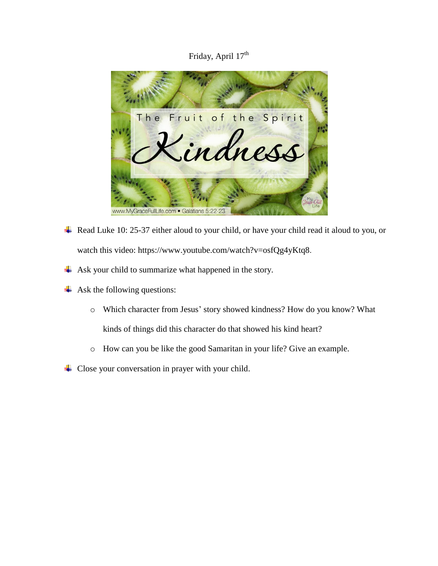Friday, April 17<sup>th</sup>



- Read Luke 10: 25-37 either aloud to your child, or have your child read it aloud to you, or watch this video: https://www.youtube.com/watch?v=osfQg4yKtq8.
- Ask your child to summarize what happened in the story. ۰.
- $\overline{\phantom{a}}$  Ask the following questions:
	- o Which character from Jesus' story showed kindness? How do you know? What kinds of things did this character do that showed his kind heart?
	- o How can you be like the good Samaritan in your life? Give an example.
- ↓ Close your conversation in prayer with your child.